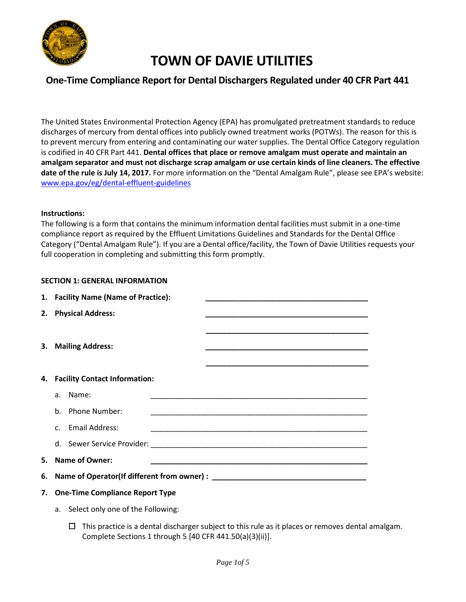

### **One-Time Compliance Report for Dental Dischargers Regulated under 40 CFR Part 441**

The United States Environmental Protection Agency (EPA) has promulgated pretreatment standards to reduce discharges of mercury from dental offices into publicly owned treatment works (POTWs). The reason for this is to prevent mercury from entering and contaminating our water supplies. The Dental Office Category regulation is codified in 40 CFR Part 441. **Dental offices that place or remove amalgam must operate and maintain an amalgam separator and must not discharge scrap amalgam or use certain kinds of line cleaners. The effective date of the rule is July 14, 2017.** For more information on the "Dental Amalgam Rule", please see EPA's website: [www.epa.gov/eg/dental-effluent-guidelines](https://www.epa.gov/eg/dental-effluent-guidelines)

#### **Instructions:**

The following is a form that contains the minimum information dental facilities must submit in a one-time compliance report as required by the Effluent Limitations Guidelines and Standards for the Dental Office Category ("Dental Amalgam Rule"). If you are a Dental office/facility, the Town of Davie Utilities requests your full cooperation in completing and submitting this form promptly.

#### **SECTION 1: GENERAL INFORMATION**

| 1. Facility Name (Name of Practice):<br><u> 1990 - Johann John Stone, mars eta biztanleria eta biztanleria eta biztanleria eta biztanleria eta biztanleri</u> |                                                                                                                                          |
|---------------------------------------------------------------------------------------------------------------------------------------------------------------|------------------------------------------------------------------------------------------------------------------------------------------|
|                                                                                                                                                               | 2. Physical Address:                                                                                                                     |
|                                                                                                                                                               |                                                                                                                                          |
|                                                                                                                                                               | 3. Mailing Address:                                                                                                                      |
|                                                                                                                                                               |                                                                                                                                          |
|                                                                                                                                                               |                                                                                                                                          |
|                                                                                                                                                               | 4. Facility Contact Information:                                                                                                         |
|                                                                                                                                                               | a. Name:<br><u> 1989 - Johann John Stone, markin film yn y brenin y brenin y brenin y brenin y brenin y brenin y brenin y br</u>         |
|                                                                                                                                                               | b. Phone Number:<br><u> 1989 - Johann John Stone, markin film yn y brenin y brenin y brenin y brenin y brenin y brenin y brenin y br</u> |
|                                                                                                                                                               | c. Email Address:<br><u> 1989 - Johann John Stoff, deutscher Stoffen und der Stoffen und der Stoffen und der Stoffen und der Stoffen</u> |
|                                                                                                                                                               |                                                                                                                                          |
| 5. Name of Owner:                                                                                                                                             |                                                                                                                                          |
| 6. Name of Operator(If different from owner) : _________________________________                                                                              |                                                                                                                                          |
| 7. One-Time Compliance Report Type                                                                                                                            |                                                                                                                                          |

a. Select only one of the Following:

 $\Box$  This practice is a dental discharger subject to this rule as it places or removes dental amalgam. Complete Sections 1 through 5 [40 CFR 441.50(a)(3)(ii)].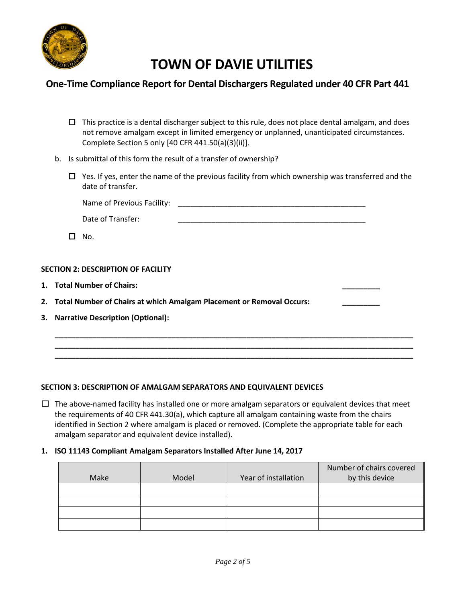

## **One-Time Compliance Report for Dental Dischargers Regulated under 40 CFR Part 441**

- $\Box$  This practice is a dental discharger subject to this rule, does not place dental amalgam, and does not remove amalgam except in limited emergency or unplanned, unanticipated circumstances. Complete Section 5 only [40 CFR 441.50(a)(3)(ii)].
- b. Is submittal of this form the result of a transfer of ownership?
	- $\Box$  Yes. If yes, enter the name of the previous facility from which ownership was transferred and the date of transfer.

Name of Previous Facility: \_\_\_\_\_\_\_\_\_\_\_\_\_\_\_\_\_\_\_\_\_\_\_\_\_\_\_\_\_\_\_\_\_\_\_\_\_\_\_\_\_\_\_\_\_

| Date of Transfer: |  |
|-------------------|--|
|                   |  |

☐ No.

#### **SECTION 2: DESCRIPTION OF FACILITY**

- **1. Total Number of Chairs: \_\_\_\_\_\_\_\_\_**
- **2. Total Number of Chairs at which Amalgam Placement or Removal Occurs: \_\_\_\_\_\_\_\_\_**
- **3. Narrative Description (Optional):**

### **SECTION 3: DESCRIPTION OF AMALGAM SEPARATORS AND EQUIVALENT DEVICES**

 $\Box$  The above-named facility has installed one or more amalgam separators or equivalent devices that meet the requirements of 40 CFR 441.30(a), which capture all amalgam containing waste from the chairs identified in Section 2 where amalgam is placed or removed. (Complete the appropriate table for each amalgam separator and equivalent device installed).

**\_\_\_\_\_\_\_\_\_\_\_\_\_\_\_\_\_\_\_\_\_\_\_\_\_\_\_\_\_\_\_\_\_\_\_\_\_\_\_\_\_\_\_\_\_\_\_\_\_\_\_\_\_\_\_\_\_\_\_\_\_\_\_\_\_\_\_\_\_\_\_\_\_\_\_\_\_\_\_\_\_\_\_\_\_\_ \_\_\_\_\_\_\_\_\_\_\_\_\_\_\_\_\_\_\_\_\_\_\_\_\_\_\_\_\_\_\_\_\_\_\_\_\_\_\_\_\_\_\_\_\_\_\_\_\_\_\_\_\_\_\_\_\_\_\_\_\_\_\_\_\_\_\_\_\_\_\_\_\_\_\_\_\_\_\_\_\_\_\_\_\_\_ \_\_\_\_\_\_\_\_\_\_\_\_\_\_\_\_\_\_\_\_\_\_\_\_\_\_\_\_\_\_\_\_\_\_\_\_\_\_\_\_\_\_\_\_\_\_\_\_\_\_\_\_\_\_\_\_\_\_\_\_\_\_\_\_\_\_\_\_\_\_\_\_\_\_\_\_\_\_\_\_\_\_\_\_\_\_**

#### **1. ISO 11143 Compliant Amalgam Separators Installed After June 14, 2017**

|      |       |                      | Number of chairs covered |
|------|-------|----------------------|--------------------------|
| Make | Model | Year of installation | by this device           |
|      |       |                      |                          |
|      |       |                      |                          |
|      |       |                      |                          |
|      |       |                      |                          |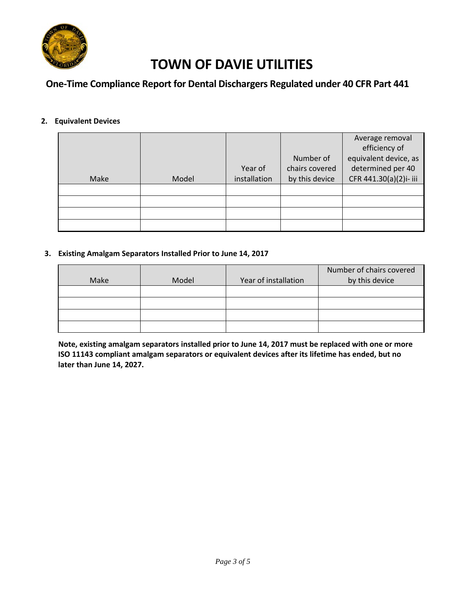

## **One-Time Compliance Report for Dental Dischargers Regulated under 40 CFR Part 441**

### **2. Equivalent Devices**

|      |       |              |                | Average removal       |
|------|-------|--------------|----------------|-----------------------|
|      |       |              |                | efficiency of         |
|      |       |              | Number of      | equivalent device, as |
|      |       | Year of      | chairs covered | determined per 40     |
| Make | Model | installation | by this device | CFR 441.30(a)(2)i-iii |
|      |       |              |                |                       |
|      |       |              |                |                       |
|      |       |              |                |                       |
|      |       |              |                |                       |

#### **3. Existing Amalgam Separators Installed Prior to June 14, 2017**

|      |       |                      | Number of chairs covered |
|------|-------|----------------------|--------------------------|
| Make | Model | Year of installation | by this device           |
|      |       |                      |                          |
|      |       |                      |                          |
|      |       |                      |                          |
|      |       |                      |                          |

**Note, existing amalgam separators installed prior to June 14, 2017 must be replaced with one or more ISO 11143 compliant amalgam separators or equivalent devices after its lifetime has ended, but no later than June 14, 2027.**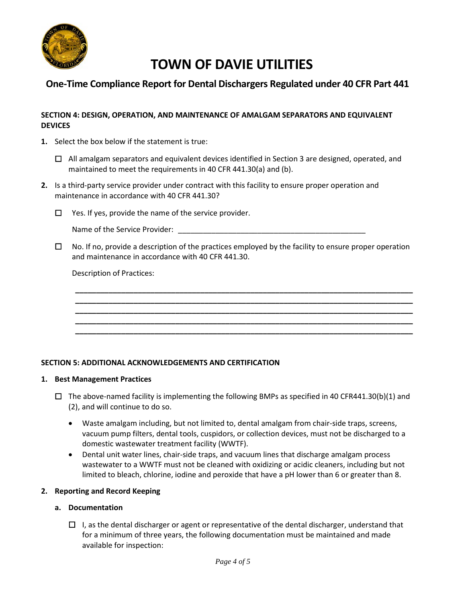

## **One-Time Compliance Report for Dental Dischargers Regulated under 40 CFR Part 441**

#### **SECTION 4: DESIGN, OPERATION, AND MAINTENANCE OF AMALGAM SEPARATORS AND EQUIVALENT DEVICES**

**1.** Select the box below if the statement is true:

☐ All amalgam separators and equivalent devices identified in Section 3 are designed, operated, and maintained to meet the requirements in 40 CFR 441.30(a) and (b).

- **2.** Is a third-party service provider under contract with this facility to ensure proper operation and maintenance in accordance with 40 CFR 441.30?
	- ☐ Yes. If yes, provide the name of the service provider.

Name of the Service Provider: \_\_\_\_\_\_\_\_\_\_\_\_\_\_\_\_\_\_\_\_\_\_\_\_\_\_\_\_\_\_\_\_\_\_\_\_\_\_\_\_\_\_\_\_\_

 $\Box$  No. If no, provide a description of the practices employed by the facility to ensure proper operation and maintenance in accordance with 40 CFR 441.30.

**\_\_\_\_\_\_\_\_\_\_\_\_\_\_\_\_\_\_\_\_\_\_\_\_\_\_\_\_\_\_\_\_\_\_\_\_\_\_\_\_\_\_\_\_\_\_\_\_\_\_\_\_\_\_\_\_\_\_\_\_\_\_\_\_\_\_\_\_\_\_\_\_\_\_\_\_\_\_\_\_\_ \_\_\_\_\_\_\_\_\_\_\_\_\_\_\_\_\_\_\_\_\_\_\_\_\_\_\_\_\_\_\_\_\_\_\_\_\_\_\_\_\_\_\_\_\_\_\_\_\_\_\_\_\_\_\_\_\_\_\_\_\_\_\_\_\_\_\_\_\_\_\_\_\_\_\_\_\_\_\_\_\_ \_\_\_\_\_\_\_\_\_\_\_\_\_\_\_\_\_\_\_\_\_\_\_\_\_\_\_\_\_\_\_\_\_\_\_\_\_\_\_\_\_\_\_\_\_\_\_\_\_\_\_\_\_\_\_\_\_\_\_\_\_\_\_\_\_\_\_\_\_\_\_\_\_\_\_\_\_\_\_\_\_ \_\_\_\_\_\_\_\_\_\_\_\_\_\_\_\_\_\_\_\_\_\_\_\_\_\_\_\_\_\_\_\_\_\_\_\_\_\_\_\_\_\_\_\_\_\_\_\_\_\_\_\_\_\_\_\_\_\_\_\_\_\_\_\_\_\_\_\_\_\_\_\_\_\_\_\_\_\_\_\_\_ \_\_\_\_\_\_\_\_\_\_\_\_\_\_\_\_\_\_\_\_\_\_\_\_\_\_\_\_\_\_\_\_\_\_\_\_\_\_\_\_\_\_\_\_\_\_\_\_\_\_\_\_\_\_\_\_\_\_\_\_\_\_\_\_\_\_\_\_\_\_\_\_\_\_\_\_\_\_\_\_\_**

Description of Practices:

#### **SECTION 5: ADDITIONAL ACKNOWLEDGEMENTS AND CERTIFICATION**

#### **1. Best Management Practices**

- $\Box$  The above-named facility is implementing the following BMPs as specified in 40 CFR441.30(b)(1) and (2), and will continue to do so.
	- Waste amalgam including, but not limited to, dental amalgam from chair-side traps, screens, vacuum pump filters, dental tools, cuspidors, or collection devices, must not be discharged to a domestic wastewater treatment facility (WWTF).
	- Dental unit water lines, chair-side traps, and vacuum lines that discharge amalgam process wastewater to a WWTF must not be cleaned with oxidizing or acidic cleaners, including but not limited to bleach, chlorine, iodine and peroxide that have a pH lower than 6 or greater than 8.

#### **2. Reporting and Record Keeping**

- **a. Documentation**
	- $\Box$  I, as the dental discharger or agent or representative of the dental discharger, understand that for a minimum of three years, the following documentation must be maintained and made available for inspection: